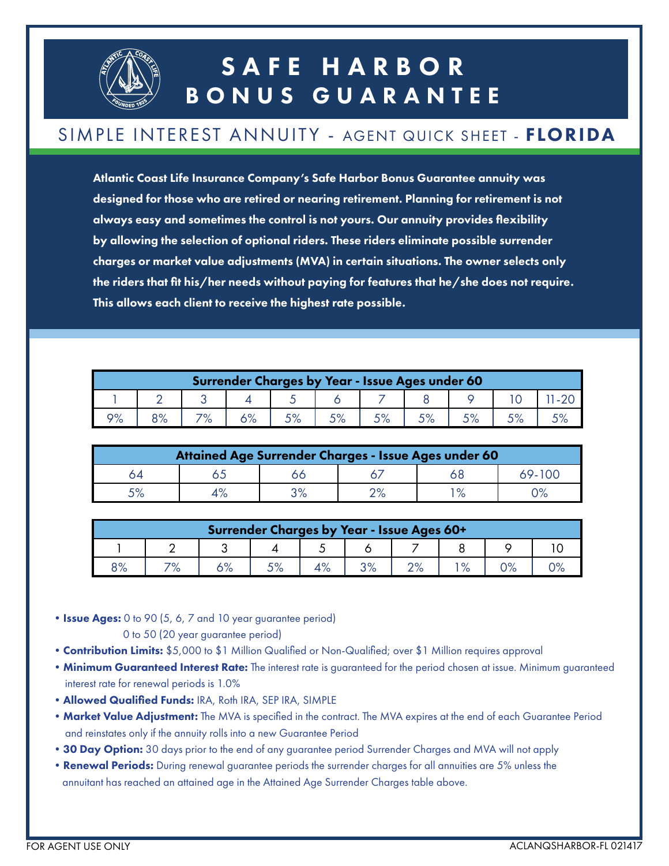

## SAFE HARBOR BONUS GUARANTEE

#### SIMPLE INTEREST ANNUITY - AGENT QUICK SHEET - FLORIDA

Atlantic Coast Life Insurance Company's Safe Harbor Bonus Guarantee annuity was designed for those who are retired or nearing retirement. Planning for retirement is not always easy and sometimes the control is not yours. Our annuity provides flexibility by allowing the selection of optional riders. These riders eliminate possible surrender charges or market value adjustments (MVA) in certain situations. The owner selects only the riders that fit his/her needs without paying for features that he/she does not require. This allows each client to receive the highest rate possible.

| Surrender Charges by Year - Issue Ages under 60 |     |  |  |  |  |      |  |  |  |  |
|-------------------------------------------------|-----|--|--|--|--|------|--|--|--|--|
|                                                 |     |  |  |  |  |      |  |  |  |  |
| ∕סר                                             | O O |  |  |  |  | r o/ |  |  |  |  |

| Attained Age Surrender Charges - Issue Ages under 60 |  |      |      |                   |  |  |  |  |  |
|------------------------------------------------------|--|------|------|-------------------|--|--|--|--|--|
| 4כ                                                   |  |      |      |                   |  |  |  |  |  |
|                                                      |  | יס פ | ∕ס ר | $\mathsf{o}_\ell$ |  |  |  |  |  |

| Surrender Charges by Year - Issue Ages 60+ |     |               |    |  |          |                |  |    |  |
|--------------------------------------------|-----|---------------|----|--|----------|----------------|--|----|--|
|                                            |     |               |    |  |          |                |  |    |  |
| 8%                                         | 70/ | 1 O /<br>ە/ נ | 5% |  | $\Omega$ | $\Omega$<br>/a |  | 2% |  |

• Issue Ages: 0 to 90 (5, 6, 7 and 10 year guarantee period)

0 to 50 (20 year guarantee period)

- Contribution Limits: \$5,000 to \$1 Million Qualified or Non-Qualified; over \$1 Million requires approval
- Minimum Guaranteed Interest Rate: The interest rate is guaranteed for the period chosen at issue. Minimum guaranteed interest rate for renewal periods is 1.0%
- •Allowed Qualified Funds: IRA, Roth IRA, SEP IRA, SIMPLE
- Market Value Adjustment: The MVA is specified in the contract. The MVA expires at the end of each Guarantee Period and reinstates only if the annuity rolls into a new Guarantee Period
- 30 Day Option: 30 days prior to the end of any guarantee period Surrender Charges and MVA will not apply
- Renewal Periods: During renewal guarantee periods the surrender charges for all annuities are 5% unless the annuitant has reached an attained age in the Attained Age Surrender Charges table above.